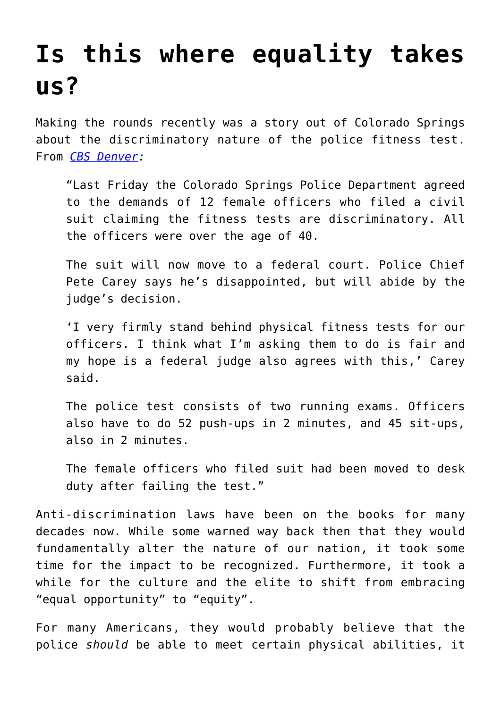## **[Is this where equality takes](https://intellectualtakeout.org/2015/11/is-this-where-equality-takes-us/) [us?](https://intellectualtakeout.org/2015/11/is-this-where-equality-takes-us/)**

Making the rounds recently was a story out of Colorado Springs about the discriminatory nature of the police fitness test. From *[CBS Denver](http://denver.cbslocal.com/2015/11/10/female-springs-officers-win-lawsuit-no-longer-have-to-take-physical-fitness-tests/):*

"Last Friday the Colorado Springs Police Department agreed to the demands of 12 female officers who filed a civil suit claiming the fitness tests are discriminatory. All the officers were over the age of 40.

The suit will now move to a federal court. Police Chief Pete Carey says he's disappointed, but will abide by the judge's decision.

'I very firmly stand behind physical fitness tests for our officers. I think what I'm asking them to do is fair and my hope is a federal judge also agrees with this,' Carey said.

The police test consists of two running exams. Officers also have to do 52 push-ups in 2 minutes, and 45 sit-ups, also in 2 minutes.

The female officers who filed suit had been moved to desk duty after failing the test."

Anti-discrimination laws have been on the books for many decades now. While some warned way back then that they would fundamentally alter the nature of our nation, it took some time for the impact to be recognized. Furthermore, it took a while for the culture and the elite to shift from embracing "equal opportunity" to "equity".

For many Americans, they would probably believe that the police *should* be able to meet certain physical abilities, it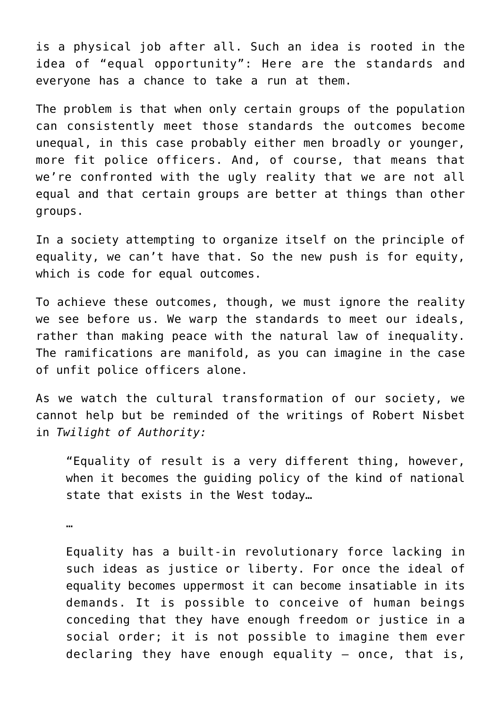is a physical job after all. Such an idea is rooted in the idea of "equal opportunity": Here are the standards and everyone has a chance to take a run at them.

The problem is that when only certain groups of the population can consistently meet those standards the outcomes become unequal, in this case probably either men broadly or younger, more fit police officers. And, of course, that means that we're confronted with the ugly reality that we are not all equal and that certain groups are better at things than other groups.

In a society attempting to organize itself on the principle of equality, we can't have that. So the new push is for equity, which is code for equal outcomes.

To achieve these outcomes, though, we must ignore the reality we see before us. We warp the standards to meet our ideals, rather than making peace with the natural law of inequality. The ramifications are manifold, as you can imagine in the case of unfit police officers alone.

As we watch the cultural transformation of our society, we cannot help but be reminded of the writings of Robert Nisbet in *Twilight of Authority:*

"Equality of result is a very different thing, however, when it becomes the guiding policy of the kind of national state that exists in the West today…

…

Equality has a built-in revolutionary force lacking in such ideas as justice or liberty. For once the ideal of equality becomes uppermost it can become insatiable in its demands. It is possible to conceive of human beings conceding that they have enough freedom or justice in a social order; it is not possible to imagine them ever declaring they have enough equality – once, that is,